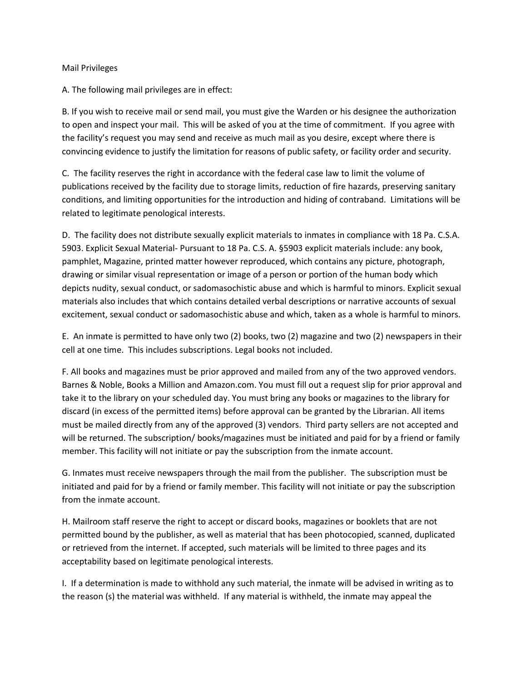## Mail Privileges

A. The following mail privileges are in effect:

B. If you wish to receive mail or send mail, you must give the Warden or his designee the authorization to open and inspect your mail. This will be asked of you at the time of commitment. If you agree with the facility's request you may send and receive as much mail as you desire, except where there is convincing evidence to justify the limitation for reasons of public safety, or facility order and security.

C. The facility reserves the right in accordance with the federal case law to limit the volume of publications received by the facility due to storage limits, reduction of fire hazards, preserving sanitary conditions, and limiting opportunities for the introduction and hiding of contraband. Limitations will be related to legitimate penological interests.

D. The facility does not distribute sexually explicit materials to inmates in compliance with 18 Pa. C.S.A. 5903. Explicit Sexual Material- Pursuant to 18 Pa. C.S. A. §5903 explicit materials include: any book, pamphlet, Magazine, printed matter however reproduced, which contains any picture, photograph, drawing or similar visual representation or image of a person or portion of the human body which depicts nudity, sexual conduct, or sadomasochistic abuse and which is harmful to minors. Explicit sexual materials also includes that which contains detailed verbal descriptions or narrative accounts of sexual excitement, sexual conduct or sadomasochistic abuse and which, taken as a whole is harmful to minors.

E. An inmate is permitted to have only two (2) books, two (2) magazine and two (2) newspapers in their cell at one time. This includes subscriptions. Legal books not included.

F. All books and magazines must be prior approved and mailed from any of the two approved vendors. Barnes & Noble, Books a Million and Amazon.com. You must fill out a request slip for prior approval and take it to the library on your scheduled day. You must bring any books or magazines to the library for discard (in excess of the permitted items) before approval can be granted by the Librarian. All items must be mailed directly from any of the approved (3) vendors. Third party sellers are not accepted and will be returned. The subscription/ books/magazines must be initiated and paid for by a friend or family member. This facility will not initiate or pay the subscription from the inmate account.

G. Inmates must receive newspapers through the mail from the publisher. The subscription must be initiated and paid for by a friend or family member. This facility will not initiate or pay the subscription from the inmate account.

H. Mailroom staff reserve the right to accept or discard books, magazines or booklets that are not permitted bound by the publisher, as well as material that has been photocopied, scanned, duplicated or retrieved from the internet. If accepted, such materials will be limited to three pages and its acceptability based on legitimate penological interests.

I. If a determination is made to withhold any such material, the inmate will be advised in writing as to the reason (s) the material was withheld. If any material is withheld, the inmate may appeal the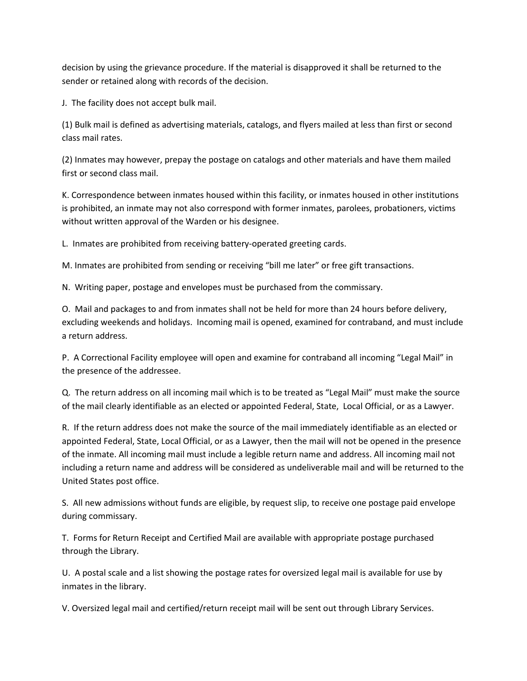decision by using the grievance procedure. If the material is disapproved it shall be returned to the sender or retained along with records of the decision.

J. The facility does not accept bulk mail.

(1) Bulk mail is defined as advertising materials, catalogs, and flyers mailed at less than first or second class mail rates.

(2) Inmates may however, prepay the postage on catalogs and other materials and have them mailed first or second class mail.

K. Correspondence between inmates housed within this facility, or inmates housed in other institutions is prohibited, an inmate may not also correspond with former inmates, parolees, probationers, victims without written approval of the Warden or his designee.

L. Inmates are prohibited from receiving battery-operated greeting cards.

M. Inmates are prohibited from sending or receiving "bill me later" or free gift transactions.

N. Writing paper, postage and envelopes must be purchased from the commissary.

O. Mail and packages to and from inmates shall not be held for more than 24 hours before delivery, excluding weekends and holidays. Incoming mail is opened, examined for contraband, and must include a return address.

P. A Correctional Facility employee will open and examine for contraband all incoming "Legal Mail" in the presence of the addressee.

Q. The return address on all incoming mail which is to be treated as "Legal Mail" must make the source of the mail clearly identifiable as an elected or appointed Federal, State, Local Official, or as a Lawyer.

R. If the return address does not make the source of the mail immediately identifiable as an elected or appointed Federal, State, Local Official, or as a Lawyer, then the mail will not be opened in the presence of the inmate. All incoming mail must include a legible return name and address. All incoming mail not including a return name and address will be considered as undeliverable mail and will be returned to the United States post office.

S. All new admissions without funds are eligible, by request slip, to receive one postage paid envelope during commissary.

T. Forms for Return Receipt and Certified Mail are available with appropriate postage purchased through the Library.

U. A postal scale and a list showing the postage rates for oversized legal mail is available for use by inmates in the library.

V. Oversized legal mail and certified/return receipt mail will be sent out through Library Services.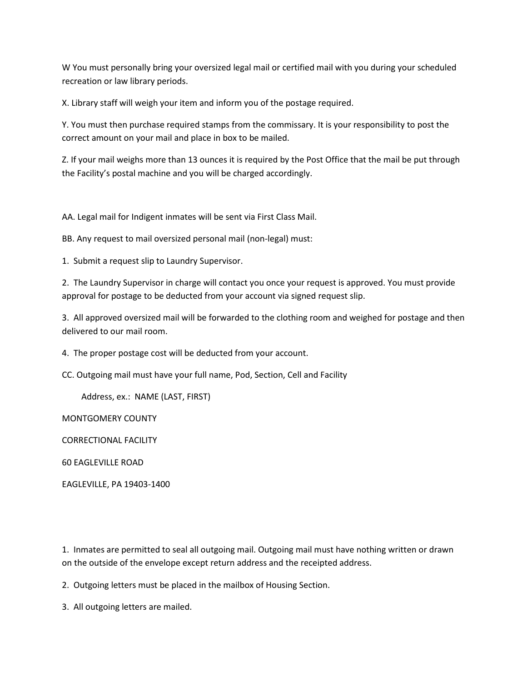W You must personally bring your oversized legal mail or certified mail with you during your scheduled recreation or law library periods.

X. Library staff will weigh your item and inform you of the postage required.

Y. You must then purchase required stamps from the commissary. It is your responsibility to post the correct amount on your mail and place in box to be mailed.

Z. If your mail weighs more than 13 ounces it is required by the Post Office that the mail be put through the Facility's postal machine and you will be charged accordingly.

AA. Legal mail for Indigent inmates will be sent via First Class Mail.

BB. Any request to mail oversized personal mail (non-legal) must:

1. Submit a request slip to Laundry Supervisor.

2. The Laundry Supervisor in charge will contact you once your request is approved. You must provide approval for postage to be deducted from your account via signed request slip.

3. All approved oversized mail will be forwarded to the clothing room and weighed for postage and then delivered to our mail room.

4. The proper postage cost will be deducted from your account.

CC. Outgoing mail must have your full name, Pod, Section, Cell and Facility

Address, ex.: NAME (LAST, FIRST)

MONTGOMERY COUNTY

CORRECTIONAL FACILITY

60 EAGLEVILLE ROAD

EAGLEVILLE, PA 19403-1400

1. Inmates are permitted to seal all outgoing mail. Outgoing mail must have nothing written or drawn on the outside of the envelope except return address and the receipted address.

2. Outgoing letters must be placed in the mailbox of Housing Section.

3. All outgoing letters are mailed.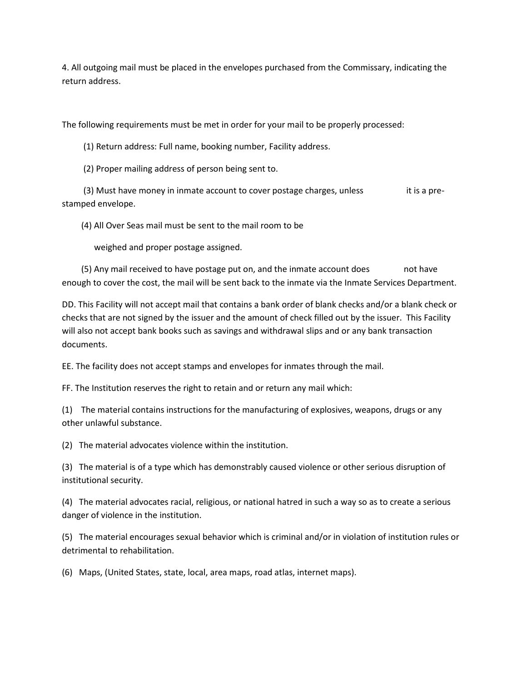4. All outgoing mail must be placed in the envelopes purchased from the Commissary, indicating the return address.

The following requirements must be met in order for your mail to be properly processed:

(1) Return address: Full name, booking number, Facility address.

(2) Proper mailing address of person being sent to.

 $(3)$  Must have money in inmate account to cover postage charges, unless it is a prestamped envelope.

(4) All Over Seas mail must be sent to the mail room to be

weighed and proper postage assigned.

 (5) Any mail received to have postage put on, and the inmate account does not have enough to cover the cost, the mail will be sent back to the inmate via the Inmate Services Department.

DD. This Facility will not accept mail that contains a bank order of blank checks and/or a blank check or checks that are not signed by the issuer and the amount of check filled out by the issuer. This Facility will also not accept bank books such as savings and withdrawal slips and or any bank transaction documents.

EE. The facility does not accept stamps and envelopes for inmates through the mail.

FF. The Institution reserves the right to retain and or return any mail which:

(1) The material contains instructions for the manufacturing of explosives, weapons, drugs or any other unlawful substance.

(2) The material advocates violence within the institution.

(3) The material is of a type which has demonstrably caused violence or other serious disruption of institutional security.

(4) The material advocates racial, religious, or national hatred in such a way so as to create a serious danger of violence in the institution.

(5) The material encourages sexual behavior which is criminal and/or in violation of institution rules or detrimental to rehabilitation.

(6) Maps, (United States, state, local, area maps, road atlas, internet maps).